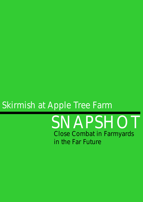# *Skirmish at Apple Tree Farm*

*SNAPSHOT Close Combat in Farmyards in the Far Future*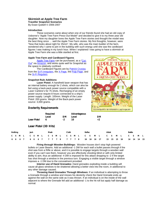### **Skirmish at Apple Tree Farm**

**Traveller Snapshot Scenarios** 

By Ewan Quibell © 2006-2007

#### **Introduction**

 These scenarios came about when one of our friends found she had an old copy of Usborne's "Apple Tree Farm Press-Out Model" and decided to give it to my three year old daughter. Now my daughter loves the Apple Tree Farm stories and thought the model was the best thing since … well the Apple Tree Farm stories. My first thoughts, however, were "Now that looks about right for 25mm". My wife, who was the main builder of the farm, wondered why I came to join in the building with such energy until she saw the cardboard figures I was making in my lunch hour. When I explained I was going to have a skirmish at Apple Tree Farm she was a little startled at first.

#### **Apple Tree Farm and Cardboard Figures**

[Apple Tree Farm](http://www.usborne.co.uk/catalogue/browse.asp?css=1&subject=FA) can be purchased, as a ["Cut-](http://www.amazon.co.uk/exec/obidos/ASIN/0746049099/usbornepublishin)[Out"](http://www.amazon.co.uk/exec/obidos/ASIN/0746049099/usbornepublishin) via [Amazon,](http://www.amazon.co.uk/exec/obidos/ASIN/0746049099/usbornepublishin) and works quite well for Snapshot as the space is relatively confined.

 The Cardboard Figures are by [Patrick Crusiau](http://www.gwindel.eu/index.html) from the [Si-Fi Irregulars,](http://www.gwindel.eu/Ressources/SF-Irregulars.zip) the [X Page,](http://www.gwindel.eu/Ressources/XPage.zip) the [Pulp Page,](http://www.gwindel.eu/Ressources/PulpsPage.zip) and the [Si-Fi Regulars.](http://www.gwindel.eu/Ressources/SFRegulars.zip)

#### **Snapshot Rule Additions**

**Laser Pistol:** A handheld laser weapon that has an internal battery enough for 2 shots, which can also be fed using a back-pack power source compatible with a Laser Carbine's for 75 shots. Recharging of an empty power source require 8 hours connected to a ship's power supply. Length: 100mm. Weight of the Laser Pistol: 200 grams. Weight of the Back-pack power source: 3,000 grams.

# **USBORNE S-OUT MOD** ILLUSTRATED BY STEPHEN CARTWRIGHT

# **Dexterity Requirements**

|                     | Required |    | Advantageous |    |  |
|---------------------|----------|----|--------------|----|--|
|                     | Level    | DМ | Level        | DМ |  |
| <b>Laser Pistol</b> |          | -2 | 10           | +2 |  |

# **Laser Pistol (3D Hits)**

| Nothing |  | Jack |  | Mesh |  | Cloth |  | Reflec |  |                                                                  | Ablat |  | <b>Battle</b> |  |  |
|---------|--|------|--|------|--|-------|--|--------|--|------------------------------------------------------------------|-------|--|---------------|--|--|
|         |  |      |  |      |  |       |  |        |  | CSML CSML CSML CSML CSML CSML CSML                               |       |  |               |  |  |
|         |  |      |  |      |  |       |  |        |  | 6 6 6 7 6 6 6 7 7 7 7 8 7 7 7 8 16 16 16 17 15 15 15 16 14 14 15 |       |  |               |  |  |

**Firing through Wooden Buildings:** Wooden houses don't stop high powered bullets or Laser Beams. Add an additional -1 DM for each wall a bullet passes through if the shot was from a Rifle or above, and it is possible to engage targets through a wooden wall even if you can't see them, however you are effectively shooting blind or with only limited ability to aim, thus an additional -4 DM is imposed for this attack dropping to -2 if the target has shot through a window in the previous turn. Engaging a visible target through a window imposes a -1 DM due to the concealment provided.

**Interior use of Hand Grenades:** Hand grenades exploding inside a building will cause all glass windows to be shattered allowing a better view into the room, in additional to any other damage caused.

**Throwing Hand Grenades Through Windows:** If an individual is attempting to throw a Grenade through a window and misses his dexterity check the Hand Grenade ends up against the wall on the same side as it was thrown. If an individual is on the inside of the wall adjacent to where the Grenade fell add an additional -1 to the hit roll but apply half damage as normal.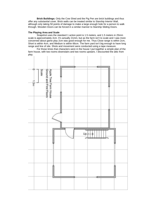**Brick Buildings:** Only the Cow Shed and the Pig Pen are brick buildings and thus offer any substantial cover. Brick walls can be treated similar to Starship Interior Wall, although only taking 50 points of damage to make a large enough hole for a person to walk through. Wooden Doors can be forced in a similar manner to Starship Sliding Doors.

#### **The Playing Area and Scale**

 Snapshot uses the standard 1 action point is 1.5 meters, and 1.5 meters in 25mm scale is approximately 2cm. It's actually 21mm, but as the farm isn't to scale and I was more concerned about game play 2cm was good enough for me. Thus Close range is within 2cm, Short is within 4cm, and Medium is within 66cm. The farm yard isn't big enough to have long range and line of site. Shots and movement were conducted using a tape measure.

 For those times that characters were in the house I put together a simple plan of the farm house, with two rooms downstairs and two rooms upstairs. I discounted the attic from play.

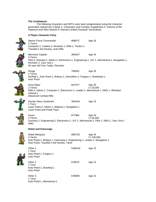#### **The Combatants**

 The following characters and NPCs were been pregenerated using the character generation sequences in Book 1: Characters and Combat, Supplement 4: Citizens of the Imperium and Alien Module 8: Darrians (Initial Character Generation).

#### **A Player Character Party**



Marine Force Commander 898873 Age 26 2 Terms Computer-2, Cutlass-2, Revolver-1, Rifle-1, Tactics-1 Traveller's Aid Society, Auto Rifle Merchant Captain **395AA7** Age 34 4 Terms Pilot-3, Steward-2, Admin-1, Electronics-1, Engineering-1, JoT-1, Mechanical-1, Navigation-1, Revolver-1, Vacc Suit-1 40 year old Free Trader, Revolver Rouge **799953** Age 26 2 Terms Air/Raft-1, Auto Pistol-1, Bribary-1, Demolition-1, Forgary-1, Streetwise-1 Auto Pistol Army Major 6A7977 Age 26 2 Terms **Cr 20,000** Rifle-2, Admin-1, Computer-1, Electronics-1, Leader-1, Mechanical-1, SMG-1, Wheeled Vehical-1 Advanced Combat Rifle Darrian Navy Lieutenant 394AA6 Age 22 1 Term Laser Pistol-2, Admin-1, Medical-1, Navigation-1 Laser Pistol and Power Pack Scout 877984 Age 34 4 Terms Cr 50,000 Gunnary-2, Engineering-2, Electronics-1, JoT-1, Mechanical-1, Pilot-1, SMG-1, Vacc Suit-1 SMG **Nobel and Entourage**  Nobel Marquise 6887CD Age 34 4 Terms Cr 100,000 Auto Pistol-1, Bribary-1, Carousing-1, Engineering-1, Leader-1, Navigation-1 Auto Pistol, Traveller's Aid Society, Yacht Other 1 C89AA9 Age 22 1 Term Auto Pistol-1, Forgery-1 Auto Pistol



| <b>Auto Pistol</b>                                                   |        |        |
|----------------------------------------------------------------------|--------|--------|
| Other 2<br>1 Term<br>Auto Pistol-1, Brawling-1<br><b>Auto Pistol</b> | 678876 | Age 22 |
| Other 3<br>1 Term<br>Auto Pistol-1, Mechanical-1                     | 67B698 | Age 22 |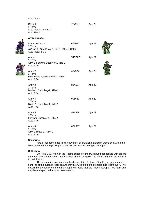#### Auto Pistol

| Other 4<br>1 Term<br>Auto Pistol-1, Blade-1<br><b>Auto Pistol</b>                                  | 777259 | Age 22 |
|----------------------------------------------------------------------------------------------------|--------|--------|
| <b>Army Squads</b>                                                                                 |        |        |
| Army Lieutenant<br>1 Term<br>Air/Raft-1, Auto-Pistol-1, Foil-1, Rifle-1, SMG-1<br>Auto Pistol, SMG | 677B77 | Age 22 |
| Army 1<br>1 Term<br>ATV-1, Forward Observer-1, Rife-1<br>Auto Rifle                                | 54B7A7 | Age 22 |
| Army 2<br>1 Term<br>Electronics-1, Mechanical-1, Rifle-1<br>Auto Rifle                             | 467934 | Age 22 |
| Army 3<br>1 Term<br>Blade-1, Gambling-1, Rifle-1<br>Auto Rifle                                     | 88A637 | Age 22 |
| Army 4<br>1 Term<br>Blade-1, Gambling-1, Rifle-1<br>Auto Rifle                                     | 996687 | Age 22 |
| Army 5<br>1 Term<br>Forward Observer-1, Rifle-2<br>Auto Rifle                                      | 98A984 | Age 22 |
| Army 6<br>1 Term<br>ATV-1, Blade-1, Rifle-1<br><b>Auto Rifle</b>                                   | 66A997 | Age 22 |

#### **Scenarios**

 Apple Tree farm lends itself to a variety of situations, although works best when the combatants enter the playing area on foot and without any type of support.

#### **Collection**

 On Heya B687745-5 in the Regina subsector the PCs have been tasked with picking up a holo disk of information that has been hidden at Apple Tree Farm, and then delivering it to their Patron.

 The information contained on the disk contains footage of the Hayan government's handling of the outback rebellion and they are willing to go to great lengths to retrieve it. The government recently found out from captured rebels that it is hidden at Apple Tree Farm and they have dispatched a squad to retrieve it.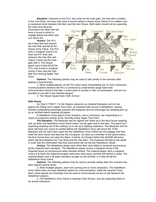**Situation:** Unknown to the PCs, who enter by the main gate, the holo disk is hidden in the Tool Shed, and they only have 8 rounds before a Heyan Army Patrol of six soldiers and a Lieutenant enter between the Barn and the Hen House. Both sides should not be expecting the other and whoever

encounters the other first will have a round in which to engage before the other side can return fire.

**Victory:** The PCs win if they find and retrieve the holo disk and kill all the Heyan Army Patrol. The PCs wins a marginal victory if at least one PC finds and retrieves the holo disk and makes it back out the main gate with it. The Heyan player wins if they kill all the PCs, and scores a marginal victory if they stop the holo disk from leaving Apple Tree Farm.



**Options:** The following options may be used to add variety to the scenario after playing it several times.

 1. Allow multiple players on the PCs team each manipulating one or more characters. Communications between the PCs is achieved by small limited range hand held communication devices that take 1 action point to accept or start a conversation, and are not possible to use with a two handed weapon.

2. The Heyan Squad have Cloth Armour

#### **Safe House**

 On Ruie C776977-7 in the Regina subsector an Imperial Marquise and his four agents are hiding out in Apple Tree Farm, an Imperial Safe House in Nebelthorn. Having finished undertaking espionage activities the Marquise and his entourage are awaiting pick up by an Air/Raft before heading off planet.

 A Nebelthorn Army patrol of four troopers, and a Lieutenant, are responding to a report of suspicious activity at the normally empty Apple Tree Farm.

**The Situation:** The Marquise and his agents are holed up in the farm house awaiting pick up when the Nebelthorn Army Patrol enters via the gate next to the barn. The patrol isn't expecting anything out of the ordinary so is not up to fighting readiness. The Marquise and his team will have one round of combat before the Nebelthorn Army will return fire. If the Marquise and his team don't open fire the Nebelthorn Army Patrol can not engage until they enter the farm house and discover the occupants. As soon as a member of the parrot enters the farm house they can raise the alarm. It will be 10 minutes before the Air/Raft will arrive, which will land between the Tool Shed and the Hay Barn. The Imperials will fight to the death in order that the information that they discovered will not fall into Nebelthorn hands.

**Victory:** The Nebelthorn player wins when they have killed or rendered unconscious all the Imperial team members. The Nebelthorn player scores a marginal victory if the Imperials leave an unconscious team member behind. The Imperial player wins a marginal victory if at least one Imperial escapes and every other team member left behind is dead. The Imperial player wins if all team members escape on the Air/Raft, or if they kill all the Nebelthorn Army Patrol.

**Options:** The following options may be used to provide variety after this scenario has been played several times:

 1. Allow multiple players, each one running one or more characters. The Nebelthorn Army Patrol does not have individual radios for communications, while the Imperial Team does. Hand signals (or shouting) must be used to communicate via line of site between the Nebelthorn players.

 2. The Nebelthorn Army Patrol is wearing Cloth Armour, and are expecting there to be armed resistance.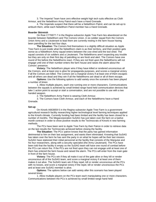3. The Imperial Team have zero effective weight high tech suits effective as Cloth Armour, and the Nebelthorn Army Patrol each have a Hand Grenade.

 4. The Imperials suspect that there will be a Nebelthorn Patrol, and can be set-up to ambush them, while each Nebelthorn Patrol member has a Hand Grenade.

#### **Boarder Skirmish**

 On Ruie C776977-7 in the Regina subsector Apple Tree Farm lies abandoned on the boarder between Nebelthorn and The Comors Union. A six soldier squad from the Comors Union Army and a Lieutenant to lead them are currently resting in the farm house having been patrolling for the last four days.

**The Situation:** The Comors find themselves in a slightly difficult situation as Apple Tree Farm is just inside what the Nebelthorn claim is as their territory, and their position gets worse as a Nebelthorn Army squad enters between the cow shed and the tool shed. The squad consists of six soldiers and a Lieutenant. The Nebelthorns aren't expecting any trouble but they are only on their first day of patrolling so are fresh and alert. The Comors have one round of fire before the Nebelthorns react. If they are not fired upon the Nebelthorns will not engage until one of their number enters the farm house and raises the alarm about the Comors' presence.

**Victory:** The Nebelthorn player wins if they have killed or rendered unconscious all the Comors, and at least one is alive for propaganda purposes, and scores a marginal victory if all the Comors are killed. The Comors win a marginal victory if at least one of them escapes and all others are dead and they win if all the Nebelthorns are dead or all of them escape.

**Options:** Use the following options to add variety once the scenario has been played a number of times:

 1. Allow multiple players, each one running one or more characters. Communications between the squads is achieved by small limited range hand held communication devices that take 1 action point to accept or start a conversation, and are not possible to use with a two handed weapon.

2. The Nebelthorn Army Patrol is wearing Cloth Armour.

 3. The Comors have Cloth Armour, and each of the Nebelthorns have a Hand Grenade.

#### **Set-up**

 On Kinorb A663659-5 in the Regina subsector Apple Tree Farm is a government agricultural research facility researching higher technological level farming techniques applied to the Kinorb climate. Currently funding had been limited and the facility has been closed for a number of months. The Megacorporation SuSAG has just taken over the farm on a twelve month contract in order to show positive results to the Technocrats of Kinorb in new farming methods.

 The PCs have been sent to Apple Tree Farm by their Patron in order to retrieve data on the last results the Technocrats achieved before closing the facility.

**The Situation:** The PCs' patron knows that the party has gained information detrimental to him on their last assignment, and wants them eliminated. Knowing that SuSAG has taken over the farm he has sent the party in on what he hopes will be their last mission. SuSAG have stationed their initial personnel at the facility that consists of the Marquise and his four researchers, along with a security specialist (the Army Lieutenant). The PCs have been told that the facility is empty so the SuSAG team will have one round of combat before the PCs can return fire. If the PCs are not fired upon they can not engage until at least one of them has entered the farm house and raised the alarm. The PCs will enter from the main gate in front of the farm house.

**Victory:** The PCs win if they all make it out of the gate alive or they kill or render unconscious all of the SuSAG team, and score a marginal victory if at least one of them makes it out alive. The SuSAG team win if they repel, kill or render unconscious all the PCs with no losses, and score a marginal victory if the repel, kill or render unconscious the PCs and at least one SuSAG member is alive.

**Options:** The options below can add variety after this scenario has been played several times:

 1. Allow multiple players on the PCs team each manipulating one or more characters. Communications between the PCs is achieved by small limited range hand held